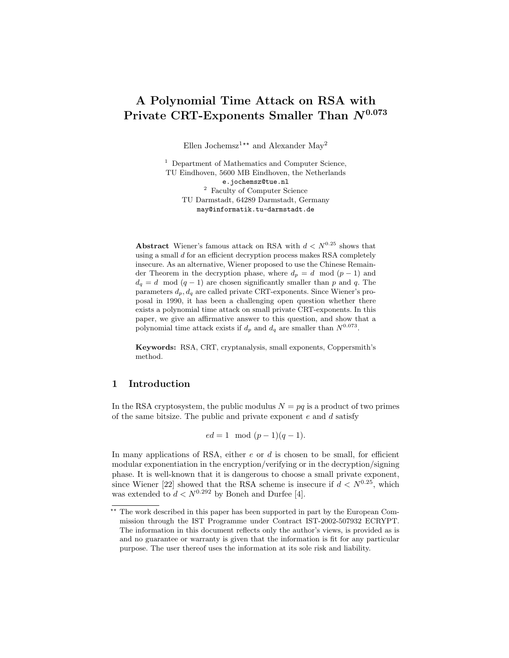# A Polynomial Time Attack on RSA with Private CRT-Exponents Smaller Than  $N^{0.073}$

Ellen Jochemsz<sup>1\*\*</sup> and Alexander May<sup>2</sup>

<sup>1</sup> Department of Mathematics and Computer Science, TU Eindhoven, 5600 MB Eindhoven, the Netherlands e.jochemsz@tue.nl <sup>2</sup> Faculty of Computer Science TU Darmstadt, 64289 Darmstadt, Germany may@informatik.tu-darmstadt.de

Abstract Wiener's famous attack on RSA with  $d < N^{0.25}$  shows that using a small  $d$  for an efficient decryption process makes RSA completely insecure. As an alternative, Wiener proposed to use the Chinese Remainder Theorem in the decryption phase, where  $d_p = d \mod (p-1)$  and  $d_q = d \mod (q-1)$  are chosen significantly smaller than p and q. The parameters  $d_p, d_q$  are called private CRT-exponents. Since Wiener's proposal in 1990, it has been a challenging open question whether there exists a polynomial time attack on small private CRT-exponents. In this paper, we give an affirmative answer to this question, and show that a polynomial time attack exists if  $d_p$  and  $d_q$  are smaller than  $N^{0.073}$ .

Keywords: RSA, CRT, cryptanalysis, small exponents, Coppersmith's method.

# 1 Introduction

In the RSA cryptosystem, the public modulus  $N = pq$  is a product of two primes of the same bitsize. The public and private exponent  $e$  and  $d$  satisfy

 $ed = 1 \mod (p-1)(q-1).$ 

In many applications of RSA, either  $e$  or  $d$  is chosen to be small, for efficient modular exponentiation in the encryption/verifying or in the decryption/signing phase. It is well-known that it is dangerous to choose a small private exponent, since Wiener [22] showed that the RSA scheme is insecure if  $d < N^{0.25}$ , which was extended to  $d < N^{0.292}$  by Boneh and Durfee [4].

The work described in this paper has been supported in part by the European Commission through the IST Programme under Contract IST-2002-507932 ECRYPT. The information in this document reflects only the author's views, is provided as is and no guarantee or warranty is given that the information is fit for any particular purpose. The user thereof uses the information at its sole risk and liability.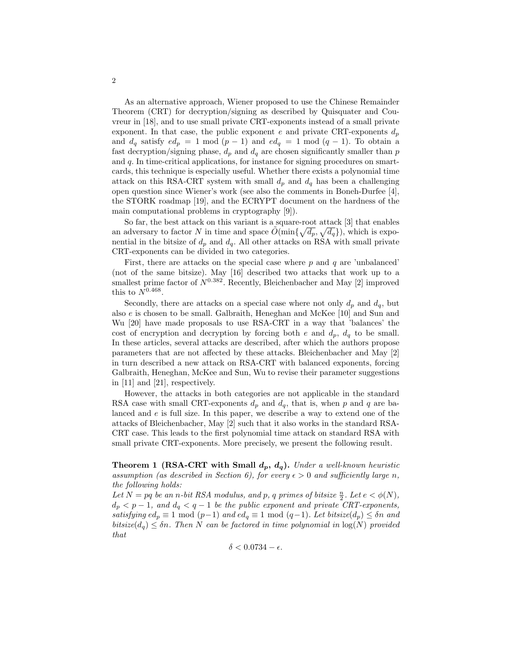As an alternative approach, Wiener proposed to use the Chinese Remainder Theorem (CRT) for decryption/signing as described by Quisquater and Couvreur in [18], and to use small private CRT-exponents instead of a small private exponent. In that case, the public exponent e and private CRT-exponents  $d_p$ and  $d_q$  satisfy  $ed_p = 1 \mod (p-1)$  and  $ed_q = 1 \mod (q-1)$ . To obtain a fast decryption/signing phase,  $d_p$  and  $d_q$  are chosen significantly smaller than p and q. In time-critical applications, for instance for signing procedures on smartcards, this technique is especially useful. Whether there exists a polynomial time attack on this RSA-CRT system with small  $d_p$  and  $d_q$  has been a challenging open question since Wiener's work (see also the comments in Boneh-Durfee [4], the STORK roadmap [19], and the ECRYPT document on the hardness of the main computational problems in cryptography [9]).

So far, the best attack on this variant is a square-root attack [3] that enables an adversary to factor N in time and space  $\tilde{O}(\min\{\sqrt{d_p}, \sqrt{d_q}\})$ , which is exponential in the bitsize of  $d_p$  and  $d_q$ . All other attacks on RSA with small private CRT-exponents can be divided in two categories.

First, there are attacks on the special case where  $p$  and  $q$  are 'unbalanced' (not of the same bitsize). May [16] described two attacks that work up to a smallest prime factor of  $N^{0.382}$ . Recently, Bleichenbacher and May [2] improved this to  $N^{0.468}$ .

Secondly, there are attacks on a special case where not only  $d_p$  and  $d_q$ , but also e is chosen to be small. Galbraith, Heneghan and McKee [10] and Sun and Wu [20] have made proposals to use RSA-CRT in a way that 'balances' the cost of encryption and decryption by forcing both e and  $d_p$ ,  $d_q$  to be small. In these articles, several attacks are described, after which the authors propose parameters that are not affected by these attacks. Bleichenbacher and May [2] in turn described a new attack on RSA-CRT with balanced exponents, forcing Galbraith, Heneghan, McKee and Sun, Wu to revise their parameter suggestions in [11] and [21], respectively.

However, the attacks in both categories are not applicable in the standard RSA case with small CRT-exponents  $d_p$  and  $d_q$ , that is, when p and q are balanced and e is full size. In this paper, we describe a way to extend one of the attacks of Bleichenbacher, May [2] such that it also works in the standard RSA-CRT case. This leads to the first polynomial time attack on standard RSA with small private CRT-exponents. More precisely, we present the following result.

**Theorem 1 (RSA-CRT with Small**  $d_p$ **,**  $d_q$ **).** Under a well-known heuristic assumption (as described in Section 6), for every  $\epsilon > 0$  and sufficiently large n, the following holds:

Let  $N = pq$  be an n-bit RSA modulus, and p, q primes of bitsize  $\frac{n}{2}$ . Let  $e < \phi(N)$ ,  $d_p < p-1$ , and  $d_q < q-1$  be the public exponent and private CRT-exponents, satisfying  $ed_p \equiv 1 \mod (p-1)$  and  $ed_q \equiv 1 \mod (q-1)$ . Let bitsize $(d_p) \leq \delta n$  and bitsize( $d_q$ )  $\leq \delta n$ . Then N can be factored in time polynomial in  $\log(N)$  provided that

2

 $\delta < 0.0734 - \epsilon$ .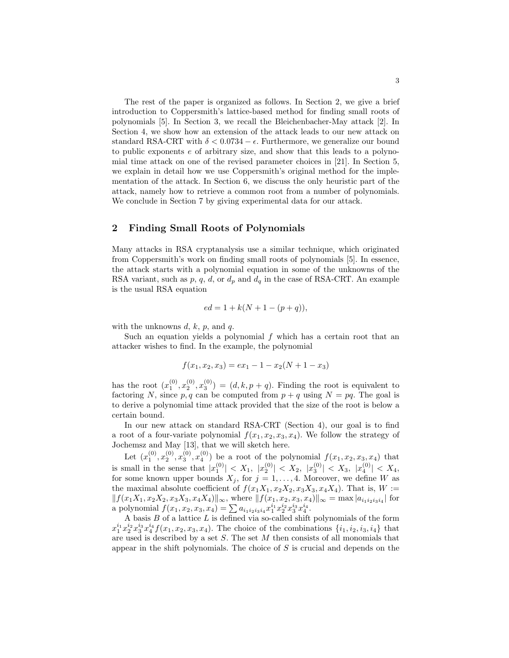The rest of the paper is organized as follows. In Section 2, we give a brief introduction to Coppersmith's lattice-based method for finding small roots of polynomials [5]. In Section 3, we recall the Bleichenbacher-May attack [2]. In Section 4, we show how an extension of the attack leads to our new attack on standard RSA-CRT with  $\delta < 0.0734 - \epsilon$ . Furthermore, we generalize our bound to public exponents e of arbitrary size, and show that this leads to a polynomial time attack on one of the revised parameter choices in [21]. In Section 5, we explain in detail how we use Coppersmith's original method for the implementation of the attack. In Section 6, we discuss the only heuristic part of the attack, namely how to retrieve a common root from a number of polynomials. We conclude in Section 7 by giving experimental data for our attack.

# 2 Finding Small Roots of Polynomials

Many attacks in RSA cryptanalysis use a similar technique, which originated from Coppersmith's work on finding small roots of polynomials [5]. In essence, the attack starts with a polynomial equation in some of the unknowns of the RSA variant, such as p, q, d, or  $d_p$  and  $d_q$  in the case of RSA-CRT. An example is the usual RSA equation

$$
ed = 1 + k(N + 1 - (p + q)),
$$

with the unknowns  $d, k, p$ , and  $q$ .

Such an equation yields a polynomial  $f$  which has a certain root that an attacker wishes to find. In the example, the polynomial

$$
f(x_1, x_2, x_3) = ex_1 - 1 - x_2(N + 1 - x_3)
$$

has the root  $(x_1^{(0)}, x_2^{(0)}, x_3^{(0)}) = (d, k, p + q)$ . Finding the root is equivalent to factoring N, since p, q can be computed from  $p + q$  using  $N = pq$ . The goal is to derive a polynomial time attack provided that the size of the root is below a certain bound.

In our new attack on standard RSA-CRT (Section 4), our goal is to find a root of a four-variate polynomial  $f(x_1, x_2, x_3, x_4)$ . We follow the strategy of Jochemsz and May [13], that we will sketch here.

Let  $(x_1^{(0)}, x_2^{(0)}, x_3^{(0)}, x_4^{(0)})$  be a root of the polynomial  $f(x_1, x_2, x_3, x_4)$  that is small in the sense that  $|x_1^{(0)}| < X_1$ ,  $|x_2^{(0)}| < X_2$ ,  $|x_3^{(0)}| < X_3$ ,  $|x_4^{(0)}| < X_4$ , for some known upper bounds  $X_j$ , for  $j = 1, \ldots, 4$ . Moreover, we define W as the maximal absolute coefficient of  $f(x_1X_1, x_2X_2, x_3X_3, x_4X_4)$ . That is,  $W :=$  $|| f(x_1X_1, x_2X_2, x_3X_3, x_4X_4)||_{\infty}$ , where  $|| f(x_1, x_2, x_3, x_4)||_{\infty} = \max |a_{i_1i_2i_3i_4}|$  for a polynomial  $f(x_1, x_2, x_3, x_4) = \sum a_{i_1 i_2 i_3 i_4} x_1^{i_1} x_2^{i_2} x_3^{i_3} x_4^{i_4}.$ 

A basis  $B$  of a lattice  $L$  is defined via so-called shift polynomials of the form  $x_1^{i_1}x_2^{i_2}x_3^{i_3}x_4^{i_4}f(x_1, x_2, x_3, x_4)$ . The choice of the combinations  $\{i_1, i_2, i_3, i_4\}$  that are used is described by a set  $S$ . The set  $M$  then consists of all monomials that appear in the shift polynomials. The choice of  $S$  is crucial and depends on the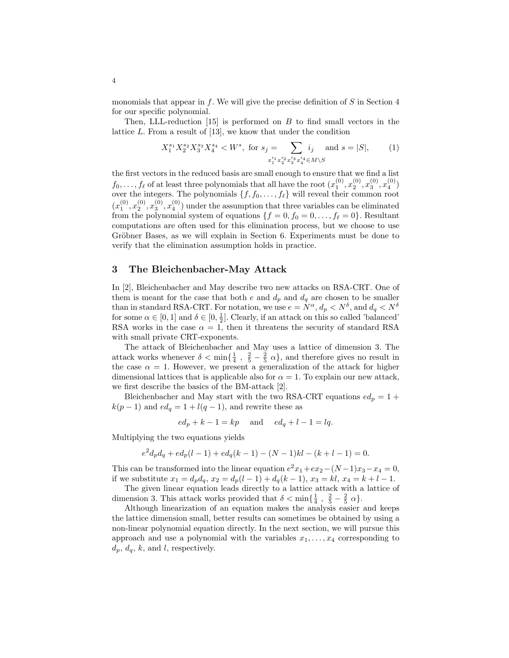monomials that appear in f. We will give the precise definition of  $S$  in Section 4 for our specific polynomial.

Then, LLL-reduction  $[15]$  is performed on B to find small vectors in the lattice L. From a result of [13], we know that under the condition

$$
X_1^{s_1} X_2^{s_2} X_3^{s_3} X_4^{s_4} < W^s, \text{ for } s_j = \sum_{x_1^{i_1} x_2^{i_2} x_3^{i_3} x_4^{i_4} \in M \setminus S} i_j \quad \text{and } s = |S|, \tag{1}
$$

the first vectors in the reduced basis are small enough to ensure that we find a list  $f_0, \ldots, f_\ell$  of at least three polynomials that all have the root  $(x_1^{(0)}, x_2^{(0)}, x_3^{(0)}, x_4^{(0)})$ over the integers. The polynomials  $\{f, f_0, \ldots, f_\ell\}$  will reveal their common root  $(x_1^{(0)}, x_2^{(0)}, x_3^{(0)}, x_4^{(0)})$  under the assumption that three variables can be eliminated from the polynomial system of equations  $\{f = 0, f_0 = 0, \ldots, f_\ell = 0\}$ . Resultant computations are often used for this elimination process, but we choose to use Gröbner Bases, as we will explain in Section 6. Experiments must be done to verify that the elimination assumption holds in practice.

## 3 The Bleichenbacher-May Attack

In [2], Bleichenbacher and May describe two new attacks on RSA-CRT. One of them is meant for the case that both  $e$  and  $d_p$  and  $d_q$  are chosen to be smaller than in standard RSA-CRT. For notation, we use  $e = N^{\alpha}$ ,  $d_p < N^{\delta}$ , and  $d_q < N^{\delta}$ for some  $\alpha \in [0, 1]$  and  $\delta \in [0, \frac{1}{2}]$ . Clearly, if an attack on this so called 'balanced' RSA works in the case  $\alpha = 1$ , then it threatens the security of standard RSA with small private CRT-exponents.

The attack of Bleichenbacher and May uses a lattice of dimension 3. The attack works whenever  $\delta < \min\{\frac{1}{4}, \frac{2}{5} - \frac{2}{5} \alpha\}$ , and therefore gives no result in the case  $\alpha = 1$ . However, we present a generalization of the attack for higher dimensional lattices that is applicable also for  $\alpha = 1$ . To explain our new attack, we first describe the basics of the BM-attack [2].

Bleichenbacher and May start with the two RSA-CRT equations  $ed_p = 1 +$  $k(p-1)$  and  $ed_q = 1 + l(q-1)$ , and rewrite these as

$$
ed_p + k - 1 = kp \quad \text{and} \quad ed_q + l - 1 = lq.
$$

Multiplying the two equations yields

$$
e2 dp dq + edp(l-1) + edq(k-1) - (N-1)kl - (k+l-1) = 0.
$$

This can be transformed into the linear equation  $e^2x_1+ex_2-(N-1)x_3-x_4=0$ , if we substitute  $x_1 = d_p d_q$ ,  $x_2 = d_p(l-1) + d_q(k-1)$ ,  $x_3 = kl$ ,  $x_4 = k+l-1$ .

The given linear equation leads directly to a lattice attack with a lattice of dimension 3. This attack works provided that  $\delta < \min\{\frac{1}{4}, \frac{2}{5} - \frac{2}{5} \alpha\}.$ 

Although linearization of an equation makes the analysis easier and keeps the lattice dimension small, better results can sometimes be obtained by using a non-linear polynomial equation directly. In the next section, we will pursue this approach and use a polynomial with the variables  $x_1, \ldots, x_4$  corresponding to  $d_p, d_q, k$ , and l, respectively.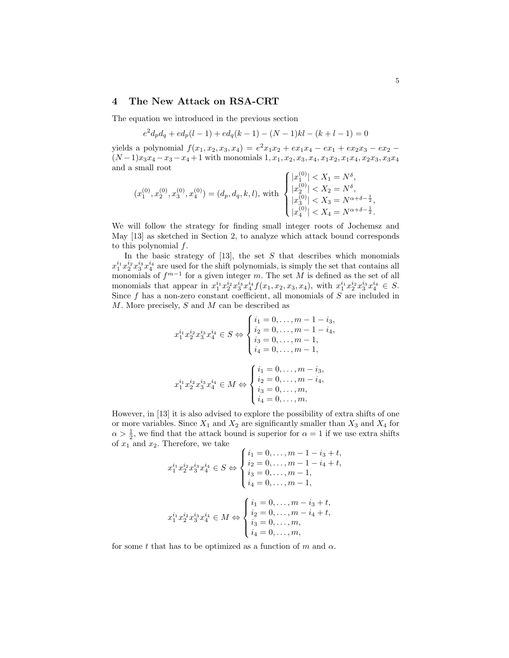## 4 The New Attack on RSA-CRT

The equation we introduced in the previous section

$$
e^{2}d_{p}d_{q} + ed_{p}(l-1) + ed_{q}(k-1) - (N-1)kl - (k+l-1) = 0
$$

yields a polynomial  $f(x_1, x_2, x_3, x_4) = e^2 x_1 x_2 + e x_1 x_4 - e x_1 + e x_2 x_3 - e x_2$  $(N-1)x_3x_4-x_3-x_4+1$  with monomials  $1, x_1, x_2, x_3, x_4, x_1x_2, x_1x_4, x_2x_3, x_3x_4$ and a small root

$$
(x_1^{(0)}, x_2^{(0)}, x_3^{(0)}, x_4^{(0)}) = (d_p, d_q, k, l), \text{ with }\begin{cases} |x_1^{(0)}| < X_1 = N^{\delta}, \\ |x_2^{(0)}| < X_2 = N^{\delta}, \\ |x_3^{(0)}| < X_3 = N^{\alpha + \delta - \frac{1}{2}}, \\ |x_4^{(0)}| < X_4 = N^{\alpha + \delta - \frac{1}{2}}.\end{cases}
$$

We will follow the strategy for finding small integer roots of Jochemsz and May [13] as sketched in Section 2, to analyze which attack bound corresponds to this polynomial f.

In the basic strategy of  $[13]$ , the set S that describes which monomials  $x_1^{i_1}x_2^{i_2}x_3^{i_3}x_4^{i_4}$  are used for the shift polynomials, is simply the set that contains all monomials of  $f^{m-1}$  for a given integer m. The set M is defined as the set of all monomials that appear in  $x_1^{i_1}x_2^{i_2}x_3^{i_3}x_4^{i_4}f(x_1, x_2, x_3, x_4)$ , with  $x_1^{i_1}x_2^{i_2}x_3^{i_3}x_4^{i_4} \in S$ . Since  $f$  has a non-zero constant coefficient, all monomials of  $S$  are included in M. More precisely, S and M can be described as

$$
x_1^{i_1} x_2^{i_2} x_3^{i_3} x_4^{i_4} \in S \Leftrightarrow \begin{cases} i_1 = 0, \dots, m - 1 - i_3, \\ i_2 = 0, \dots, m - 1 - i_4, \\ i_3 = 0, \dots, m - 1, \\ i_4 = 0, \dots, m - 1, \end{cases}
$$

$$
x_1^{i_1} x_2^{i_2} x_3^{i_3} x_4^{i_4} \in M \Leftrightarrow \begin{cases} i_1 = 0, \dots, m - i_3, \\ i_2 = 0, \dots, m - i_4, \\ i_3 = 0, \dots, m, \\ i_4 = 0, \dots, m. \end{cases}
$$

However, in [13] it is also advised to explore the possibility of extra shifts of one or more variables. Since  $X_1$  and  $X_2$  are significantly smaller than  $X_3$  and  $X_4$  for  $\alpha > \frac{1}{2}$ , we find that the attack bound is superior for  $\alpha = 1$  if we use extra shifts of  $x_1$  and  $x_2$ . Therefore, we take

$$
x_1^{i_1} x_2^{i_2} x_3^{i_3} x_4^{i_4} \in S \Leftrightarrow \begin{cases} i_1 = 0, \dots, m - 1 - i_3 + t, \\ i_2 = 0, \dots, m - 1 - i_4 + t, \\ i_3 = 0, \dots, m - 1, \\ i_4 = 0, \dots, m - 1, \end{cases}
$$

$$
x_1^{i_1} x_2^{i_2} x_3^{i_3} x_4^{i_4} \in M \Leftrightarrow \begin{cases} i_1 = 0, \dots, m - i_3 + t, \\ i_2 = 0, \dots, m - i_4 + t, \\ i_3 = 0, \dots, m, \\ i_4 = 0, \dots, m, \\ i_4 = 0, \dots, m, \end{cases}
$$

for some t that has to be optimized as a function of m and  $\alpha$ .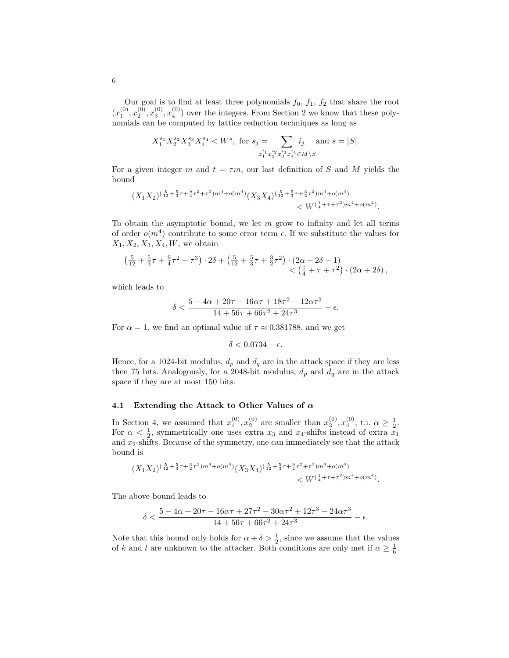Our goal is to find at least three polynomials  $f_0$ ,  $f_1$ ,  $f_2$  that share the root  $(x_1^{(0)}, x_2^{(0)}, x_3^{(0)}, x_4^{(0)})$  over the integers. From Section 2 we know that these polynomials can be computed by lattice reduction techniques as long as

$$
X_1^{s_1}X_2^{s_2}X_3^{s_3}X_4^{s_4} < W^s, \text{ for } s_j = \sum_{x_1^{i_1}x_2^{i_2}x_3^{i_3}x_4^{i_4} \in M \setminus S} i_j \text{ and } s = |S|.
$$

For a given integer m and  $t = \tau m$ , our last definition of S and M yields the bound

$$
\begin{aligned} (X_1X_2)^{(\frac{5}{12}+\frac{5}{3}\tau+\frac{9}{4}\tau^2+\tau^3)m^4+o(m^4)}(X_3X_4)^{(\frac{5}{12}+\frac{5}{3}\tau+\frac{3}{2}\tau^2)m^4+o(m^4)}\\ &\quad\quad
$$

To obtain the asymptotic bound, we let  $m$  grow to infinity and let all terms of order  $o(m^4)$  contribute to some error term  $\epsilon$ . If we substitute the values for  $X_1, X_2, X_3, X_4, W$ , we obtain

$$
\left(\frac{5}{12} + \frac{5}{3}\tau + \frac{9}{4}\tau^2 + \tau^3\right) \cdot 2\delta + \left(\frac{5}{12} + \frac{5}{3}\tau + \frac{3}{2}\tau^2\right) \cdot \left(2\alpha + 2\delta - 1\right) < \left(\frac{1}{4} + \tau + \tau^2\right) \cdot \left(2\alpha + 2\delta\right),
$$

which leads to

$$
\delta < \frac{5 - 4\alpha + 20\tau - 16\alpha\tau + 18\tau^2 - 12\alpha\tau^2}{14 + 56\tau + 66\tau^2 + 24\tau^3} - \epsilon.
$$

For  $\alpha = 1$ , we find an optimal value of  $\tau \approx 0.381788$ , and we get

$$
\delta<0.0734-\epsilon.
$$

Hence, for a 1024-bit modulus,  $d_p$  and  $d_q$  are in the attack space if they are less then 75 bits. Analogously, for a 2048-bit modulus,  $d_p$  and  $d_q$  are in the attack space if they are at most 150 bits.

#### 4.1 Extending the Attack to Other Values of  $\alpha$

In Section 4, we assumed that  $x_1^{(0)}, x_2^{(0)}$  are smaller than  $x_3^{(0)}, x_4^{(0)}$ , t.i.  $\alpha \ge \frac{1}{2}$ . For  $\alpha < \frac{1}{2}$ , symmetrically one uses extra  $x_3$  and  $x_4$ -shifts instead of extra  $x_1$ and  $x_2$ -shifts. Because of the symmetry, one can immediately see that the attack bound is

$$
\begin{aligned} (X_1X_2)^{(\frac{5}{12}+\frac{5}{3}\tau+\frac{3}{2}\tau^2)m^4+o(m^4)}(X_3X_4)^{(\frac{5}{12}+\frac{5}{3}\tau+\frac{9}{4}\tau^2+\tau^3)m^4+o(m^4)}\\
$$

The above bound leads to

$$
\delta < \frac{5 - 4\alpha + 20\tau - 16\alpha\tau + 27\tau^2 - 30\alpha\tau^2 + 12\tau^3 - 24\alpha\tau^3}{14 + 56\tau + 66\tau^2 + 24\tau^3} - \epsilon.
$$

Note that this bound only holds for  $\alpha + \delta > \frac{1}{2}$ , since we assume that the values of k and l are unknown to the attacker. Both conditions are only met if  $\alpha \geq \frac{1}{6}$ .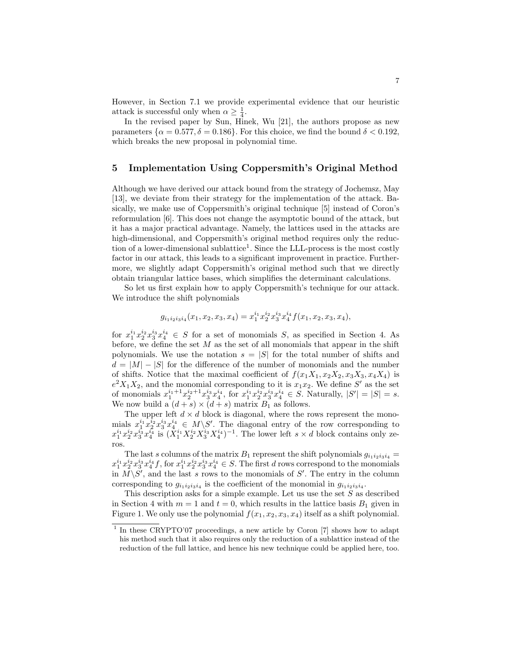However, in Section 7.1 we provide experimental evidence that our heuristic attack is successful only when  $\alpha \geq \frac{1}{4}$ .

In the revised paper by Sun, Hinek, Wu [21], the authors propose as new parameters  $\{\alpha = 0.577, \delta = 0.186\}$ . For this choice, we find the bound  $\delta < 0.192$ , which breaks the new proposal in polynomial time.

## 5 Implementation Using Coppersmith's Original Method

Although we have derived our attack bound from the strategy of Jochemsz, May [13], we deviate from their strategy for the implementation of the attack. Basically, we make use of Coppersmith's original technique [5] instead of Coron's reformulation [6]. This does not change the asymptotic bound of the attack, but it has a major practical advantage. Namely, the lattices used in the attacks are high-dimensional, and Coppersmith's original method requires only the reduction of a lower-dimensional sublattice<sup>1</sup>. Since the LLL-process is the most costly factor in our attack, this leads to a significant improvement in practice. Furthermore, we slightly adapt Coppersmith's original method such that we directly obtain triangular lattice bases, which simplifies the determinant calculations.

So let us first explain how to apply Coppersmith's technique for our attack. We introduce the shift polynomials

$$
g_{i_1i_2i_3i_4}(x_1, x_2, x_3, x_4) = x_1^{i_1}x_2^{i_2}x_3^{i_3}x_4^{i_4}f(x_1, x_2, x_3, x_4),
$$

for  $x_1^{i_1}x_2^{i_2}x_3^{i_3}x_4^{i_4} \in S$  for a set of monomials S, as specified in Section 4. As before, we define the set  $M$  as the set of all monomials that appear in the shift polynomials. We use the notation  $s = |S|$  for the total number of shifts and  $d = |M| - |S|$  for the difference of the number of monomials and the number of shifts. Notice that the maximal coefficient of  $f(x_1X_1, x_2X_2, x_3X_3, x_4X_4)$  is  $e^2X_1X_2$ , and the monomial corresponding to it is  $x_1x_2$ . We define S' as the set of monomials  $x_1^{i_1+1}x_2^{i_2+1}x_3^{i_3}x_4^{i_4}$ , for  $x_1^{i_1}x_2^{i_2}x_3^{i_3}x_4^{i_4} \in S$ . Naturally,  $|S'| = |S| = s$ . We now build a  $(d + s) \times (d + s)$  matrix  $B_1$  as follows.

The upper left  $d \times d$  block is diagonal, where the rows represent the monomials  $x_1^{i_1}x_2^{i_2}x_3^{i_3}x_4^{i_4} \in M\backslash S'$ . The diagonal entry of the row corresponding to  $x_1^{i_1}x_2^{i_2}x_3^{i_3}x_4^{i_4}$  is  $(\hat{X}_1^{i_1}X_2^{i_2}X_3^{i_3}X_4^{i_4})^{-1}$ . The lower left  $s \times d$  block contains only zeros.

The last s columns of the matrix  $B_1$  represent the shift polynomials  $g_{i_1i_2i_3i_4}$  =  $x_1^{i_1}x_2^{i_2}x_3^{i_3}x_4^{i_4}f$ , for  $x_1^{i_1}x_2^{i_2}x_3^{i_3}x_4^{i_4} \in S$ . The first d rows correspond to the monomials in  $M\backslash S'$ , and the last s rows to the monomials of S'. The entry in the column corresponding to  $g_{i_1 i_2 i_3 i_4}$  is the coefficient of the monomial in  $g_{i_1 i_2 i_3 i_4}$ .

This description asks for a simple example. Let us use the set  $S$  as described in Section 4 with  $m = 1$  and  $t = 0$ , which results in the lattice basis  $B_1$  given in Figure 1. We only use the polynomial  $f(x_1, x_2, x_3, x_4)$  itself as a shift polynomial.

<sup>&</sup>lt;sup>1</sup> In these CRYPTO'07 proceedings, a new article by Coron [7] shows how to adapt his method such that it also requires only the reduction of a sublattice instead of the reduction of the full lattice, and hence his new technique could be applied here, too.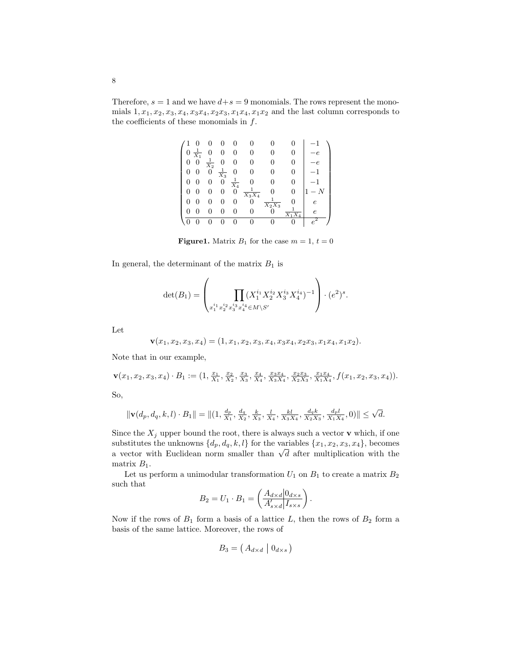Therefore,  $s = 1$  and we have  $d + s = 9$  monomials. The rows represent the monomials  $1, x_1, x_2, x_3, x_4, x_3x_4, x_2x_3, x_1x_4, x_1x_2$  and the last column corresponds to the coefficients of these monomials in  $f$ .

|   | $\frac{1}{X_1}$ |                 |                  |                 |                     |          |   |            |
|---|-----------------|-----------------|------------------|-----------------|---------------------|----------|---|------------|
|   |                 | $\frac{1}{X_2}$ | 0                |                 |                     |          |   |            |
|   |                 | 0               | $\frac{1}{X_3}$  | 0               |                     |          |   |            |
| 0 |                 |                 | $\boldsymbol{0}$ | $\frac{1}{X_4}$ |                     |          |   |            |
| U |                 |                 |                  | 0               | $\frac{1}{X_3 X_4}$ |          | 0 |            |
| O |                 |                 |                  |                 | 0                   | $X_2X_3$ |   | $\epsilon$ |
|   |                 | 0               | 0                | 0               |                     |          |   | $\epsilon$ |
|   |                 |                 |                  |                 |                     |          |   |            |

**Figure1.** Matrix  $B_1$  for the case  $m = 1$ ,  $t = 0$ 

In general, the determinant of the matrix  $B_1$  is

$$
\det(B_1) = \left(\prod_{x_1^{i_1} x_2^{i_2} x_3^{i_3} x_4^{i_4} \in M \backslash S'} \prod_{x_1^{i_1} x_2^{i_2} x_3^{i_3} x_4^{i_4} \in M \backslash S'} (e^2)^s.
$$

Let

$$
\mathbf{v}(x_1, x_2, x_3, x_4) = (1, x_1, x_2, x_3, x_4, x_3x_4, x_2x_3, x_1x_4, x_1x_2).
$$

Note that in our example,

$$
\mathbf{v}(x_1, x_2, x_3, x_4) \cdot B_1 := (1, \frac{x_1}{X_1}, \frac{x_2}{X_2}, \frac{x_3}{X_3}, \frac{x_4}{X_4}, \frac{x_3 x_4}{X_3 X_4}, \frac{x_2 x_3}{X_2 X_3}, \frac{x_1 x_4}{X_1 X_4}, f(x_1, x_2, x_3, x_4)).
$$

So,

$$
\|\mathbf{v}(d_p, d_q, k, l) \cdot B_1\| = \|(1, \frac{d_p}{X_1}, \frac{d_q}{X_2}, \frac{k}{X_3}, \frac{l}{X_4}, \frac{kl}{X_3 X_4}, \frac{d_q k}{X_2 X_3}, \frac{d_p l}{X_1 X_4}, 0)\| \leq \sqrt{d}.
$$

Since the  $X_i$  upper bound the root, there is always such a vector **v** which, if one substitutes the unknowns  $\{d_p, d_q, k, l\}$  for the variables  $\{x_1, x_2, x_3, x_4\}$ , becomes substitutes the unknowns  $\{a_p, a_q, \kappa, \iota\}$  for the variables  $\{x_1, x_2, x_3, x_4\}$ , becomes<br>a vector with Euclidean norm smaller than  $\sqrt{d}$  after multiplication with the matrix  $B_1$ .

Let us perform a unimodular transformation  $U_1$  on  $B_1$  to create a matrix  $B_2$ such that

$$
B_2 = U_1 \cdot B_1 = \left(\frac{A_{d \times d} |0_{d \times s}}{A'_{s \times d} |I_{s \times s}}\right).
$$

Now if the rows of  $B_1$  form a basis of a lattice L, then the rows of  $B_2$  form a basis of the same lattice. Moreover, the rows of

$$
B_3 = \left(\left.A_{d \times d} \; \middle| \; 0_{d \times s}\right)\right)
$$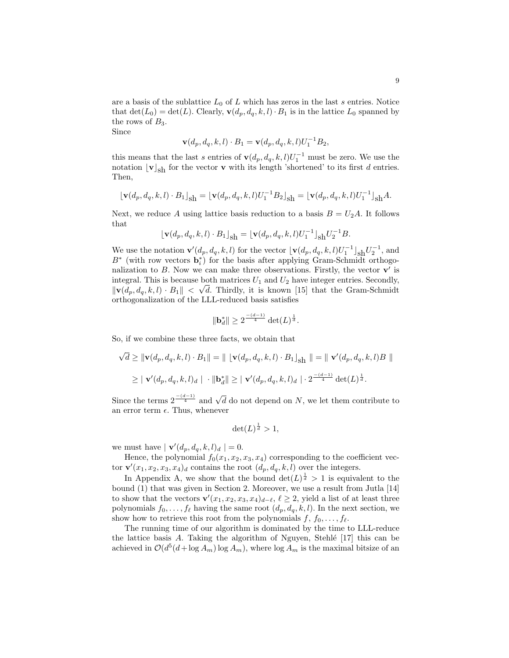are a basis of the sublattice  $L_0$  of L which has zeros in the last s entries. Notice that  $\det(L_0) = \det(L)$ . Clearly,  $\mathbf{v}(d_p, d_q, k, l) \cdot B_1$  is in the lattice  $L_0$  spanned by the rows of  $B_3$ .

Since

$$
\mathbf{v}(d_p, d_q, k, l) \cdot B_1 = \mathbf{v}(d_p, d_q, k, l) U_1^{-1} B_2,
$$

this means that the last s entries of  $\mathbf{v}(d_p, d_q, k, l)U_1^{-1}$  must be zero. We use the notation  $\lfloor \mathbf{v} \rfloor_{\text{sh}}$  for the vector **v** with its length 'shortened' to its first d entries. Then,

$$
\left\lfloor \mathbf{v}(d_p, d_q, k, l) \cdot B_1 \right\rfloor_{\text{Sh}} = \left\lfloor \mathbf{v}(d_p, d_q, k, l) U_1^{-1} B_2 \right\rfloor_{\text{Sh}} = \left\lfloor \mathbf{v}(d_p, d_q, k, l) U_1^{-1} \right\rfloor_{\text{Sh}} A.
$$

Next, we reduce A using lattice basis reduction to a basis  $B = U_2A$ . It follows that

$$
\lfloor \mathbf{v}(d_p, d_q, k, l) \cdot B_1 \rfloor_{\text{Sh}} = \lfloor \mathbf{v}(d_p, d_q, k, l) U_1^{-1} \rfloor_{\text{Sh}} U_2^{-1} B.
$$

We use the notation  $\mathbf{v}'(d_p, d_q, k, l)$  for the vector  $\lfloor \mathbf{v}(d_p, d_q, k, l)U_1^{-1} \rfloor_{\text{sh}} U_2^{-1}$ , and  $B^*$  (with row vectors  $\mathbf{b}_i^*$ ) for the basis after applying Gram-Schmidt orthogonalization to  $B$ . Now we can make three observations. Firstly, the vector  $\mathbf{v}'$  is integral. This is because both matrices  $U_1$  and  $U_2$  have integer entries. Secondly,  $\|\mathbf{v}(d_p, d_q, k, l) \cdot B_1\| < \sqrt{d}$ . Thirdly, it is known [15] that the Gram-Schmidt orthogonalization of the LLL-reduced basis satisfies

$$
\|\mathbf{b}_d^*\| \ge 2^{\frac{-(d-1)}{4}} \det(L)^{\frac{1}{d}}.
$$

So, if we combine these three facts, we obtain that

$$
\sqrt{d} \geq \|\mathbf{v}(d_p, d_q, k, l) \cdot B_1\| = \|\mathbf{v}(d_p, d_q, k, l) \cdot B_1\|_{\text{Sh}} \| = \|\mathbf{v}'(d_p, d_q, k, l)B\|
$$
  

$$
\geq \|\mathbf{v}'(d_p, d_q, k, l)_d \| \cdot \|\mathbf{b}_d^*\| \geq \|\mathbf{v}'(d_p, d_q, k, l)_d \| \cdot 2^{\frac{-(d-1)}{4}} \det(L)^{\frac{1}{d}}.
$$

Since the terms  $2^{-\frac{(d-1)}{4}}$  and  $\sqrt{d}$  do not depend on N, we let them contribute to an error term  $\epsilon$ . Thus, whenever

$$
\det(L)^{\frac{1}{d}} > 1,
$$

we must have  $|\mathbf{v}'(d_p, d_q, k, l)_d| = 0.$ 

Hence, the polynomial  $f_0(x_1, x_2, x_3, x_4)$  corresponding to the coefficient vector  $\mathbf{v}'(x_1, x_2, x_3, x_4)_d$  contains the root  $(d_p, d_q, k, l)$  over the integers.

In Appendix A, we show that the bound  $\det(L)^{\frac{1}{d}} > 1$  is equivalent to the bound (1) that was given in Section 2. Moreover, we use a result from Jutla [14] to show that the vectors  $\mathbf{v}'(x_1, x_2, x_3, x_4)_{d-\ell}, \ell \geq 2$ , yield a list of at least three polynomials  $f_0, \ldots, f_\ell$  having the same root  $(d_p, d_q, k, l)$ . In the next section, we show how to retrieve this root from the polynomials  $f, f_0, \ldots, f_\ell$ .

The running time of our algorithm is dominated by the time to LLL-reduce the lattice basis  $A$ . Taking the algorithm of Nguyen, Stehlé  $[17]$  this can be achieved in  $\mathcal{O}(d^5(d + \log A_m) \log A_m)$ , where  $\log A_m$  is the maximal bitsize of an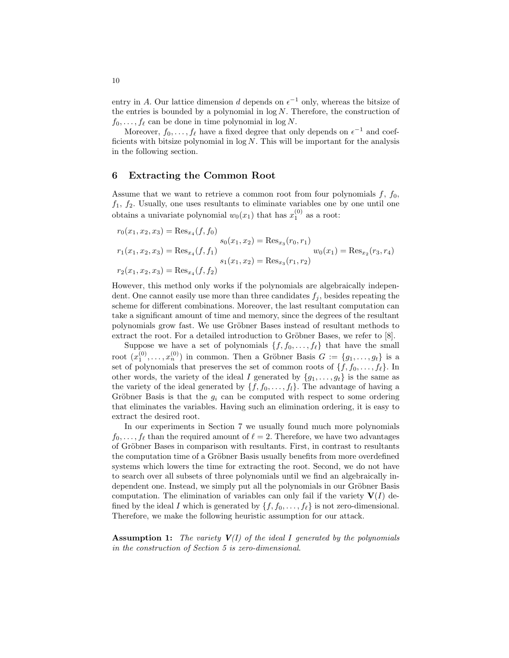entry in A. Our lattice dimension d depends on  $\epsilon^{-1}$  only, whereas the bitsize of the entries is bounded by a polynomial in  $log N$ . Therefore, the construction of  $f_0, \ldots, f_\ell$  can be done in time polynomial in log N.

Moreover,  $f_0, \ldots, f_\ell$  have a fixed degree that only depends on  $\epsilon^{-1}$  and coefficients with bitsize polynomial in  $log N$ . This will be important for the analysis in the following section.

## 6 Extracting the Common Root

Assume that we want to retrieve a common root from four polynomials  $f, f_0$ ,  $f_1, f_2$ . Usually, one uses resultants to eliminate variables one by one until one obtains a univariate polynomial  $w_0(x_1)$  that has  $x_1^{(0)}$  as a root:

$$
r_0(x_1, x_2, x_3) = \text{Res}_{x_4}(f, f_0)
$$
  
\n
$$
s_0(x_1, x_2) = \text{Res}_{x_3}(r_0, r_1)
$$
  
\n
$$
r_1(x_1, x_2, x_3) = \text{Res}_{x_4}(f, f_1)
$$
  
\n
$$
s_1(x_1, x_2) = \text{Res}_{x_3}(r_1, r_2)
$$
  
\n
$$
r_2(x_1, x_2, x_3) = \text{Res}_{x_4}(f, f_2)
$$
  
\n
$$
r_3(x_1, x_2) = \text{Res}_{x_3}(r_1, r_2)
$$

However, this method only works if the polynomials are algebraically independent. One cannot easily use more than three candidates  $f_j$ , besides repeating the scheme for different combinations. Moreover, the last resultant computation can take a significant amount of time and memory, since the degrees of the resultant polynomials grow fast. We use Gröbner Bases instead of resultant methods to extract the root. For a detailed introduction to Gröbner Bases, we refer to  $[8]$ .

Suppose we have a set of polynomials  $\{f, f_0, \ldots, f_\ell\}$  that have the small root  $(x_1^{(0)}, \ldots, x_n^{(0)})$  in common. Then a Gröbner Basis  $G := \{g_1, \ldots, g_t\}$  is a set of polynomials that preserves the set of common roots of  $\{f, f_0, \ldots, f_\ell\}$ . In other words, the variety of the ideal I generated by  $\{g_1, \ldots, g_t\}$  is the same as the variety of the ideal generated by  $\{f, f_0, \ldots, f_l\}$ . The advantage of having a Gröbner Basis is that the  $g_i$  can be computed with respect to some ordering that eliminates the variables. Having such an elimination ordering, it is easy to extract the desired root.

In our experiments in Section 7 we usually found much more polynomials  $f_0, \ldots, f_\ell$  than the required amount of  $\ell = 2$ . Therefore, we have two advantages of Gröbner Bases in comparison with resultants. First, in contrast to resultants the computation time of a Gröbner Basis usually benefits from more overdefined systems which lowers the time for extracting the root. Second, we do not have to search over all subsets of three polynomials until we find an algebraically independent one. Instead, we simply put all the polynomials in our Gröbner Basis computation. The elimination of variables can only fail if the variety  $V(I)$  defined by the ideal I which is generated by  $\{f, f_0, \ldots, f_{\ell}\}\$  is not zero-dimensional. Therefore, we make the following heuristic assumption for our attack.

**Assumption 1:** The variety  $V(I)$  of the ideal I generated by the polynomials in the construction of Section 5 is zero-dimensional.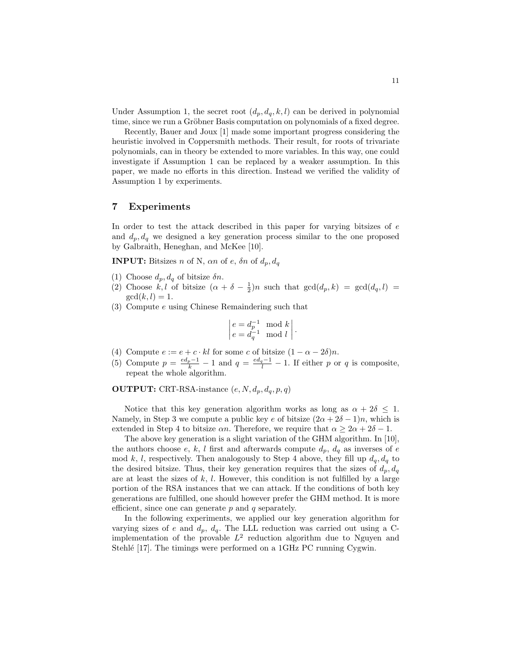Under Assumption 1, the secret root  $(d_p, d_q, k, l)$  can be derived in polynomial time, since we run a Gröbner Basis computation on polynomials of a fixed degree.

Recently, Bauer and Joux [1] made some important progress considering the heuristic involved in Coppersmith methods. Their result, for roots of trivariate polynomials, can in theory be extended to more variables. In this way, one could investigate if Assumption 1 can be replaced by a weaker assumption. In this paper, we made no efforts in this direction. Instead we verified the validity of Assumption 1 by experiments.

#### 7 Experiments

In order to test the attack described in this paper for varying bitsizes of  $e$ and  $d_p, d_q$  we designed a key generation process similar to the one proposed by Galbraith, Heneghan, and McKee [10].

**INPUT:** Bitsizes n of N, an of e,  $\delta n$  of  $d_n, d_q$ 

- (1) Choose  $d_p, d_q$  of bitsize  $\delta n$ .
- (2) Choose  $\hat{k}, l$  of bitsize  $(\alpha + \delta \frac{1}{2})n$  such that  $gcd(d_p, k) = gcd(d_q, l)$  $gcd(k, l) = 1.$
- (3) Compute e using Chinese Remaindering such that

$$
\begin{vmatrix} e = d_p^{-1} \mod k \\ e = d_q^{-1} \mod l \end{vmatrix}
$$

.

- (4) Compute  $e := e + c \cdot kl$  for some c of bitsize  $(1 \alpha 2\delta)n$ .
- (5) Compute  $p = \frac{ed_p 1}{k} 1$  and  $q = \frac{ed_q 1}{l} 1$ . If either p or q is composite, repeat the whole algorithm.

**OUTPUT:** CRT-RSA-instance  $(e, N, d_p, d_q, p, q)$ 

Notice that this key generation algorithm works as long as  $\alpha + 2\delta \leq 1$ . Namely, in Step 3 we compute a public key e of bitsize  $(2\alpha + 2\delta - 1)n$ , which is extended in Step 4 to bitsize  $\alpha n$ . Therefore, we require that  $\alpha \geq 2\alpha + 2\delta - 1$ .

The above key generation is a slight variation of the GHM algorithm. In [10], the authors choose e, k, l first and afterwards compute  $d_p$ ,  $d_q$  as inverses of e mod k, l, respectively. Then analogously to Step 4 above, they fill up  $d_q, d_q$  to the desired bitsize. Thus, their key generation requires that the sizes of  $d_p, d_q$ are at least the sizes of  $k, l$ . However, this condition is not fulfilled by a large portion of the RSA instances that we can attack. If the conditions of both key generations are fulfilled, one should however prefer the GHM method. It is more efficient, since one can generate  $p$  and  $q$  separately.

In the following experiments, we applied our key generation algorithm for varying sizes of e and  $d_p$ ,  $d_q$ . The LLL reduction was carried out using a Cimplementation of the provable  $L^2$  reduction algorithm due to Nguyen and Stehlé [17]. The timings were performed on a 1GHz PC running Cygwin.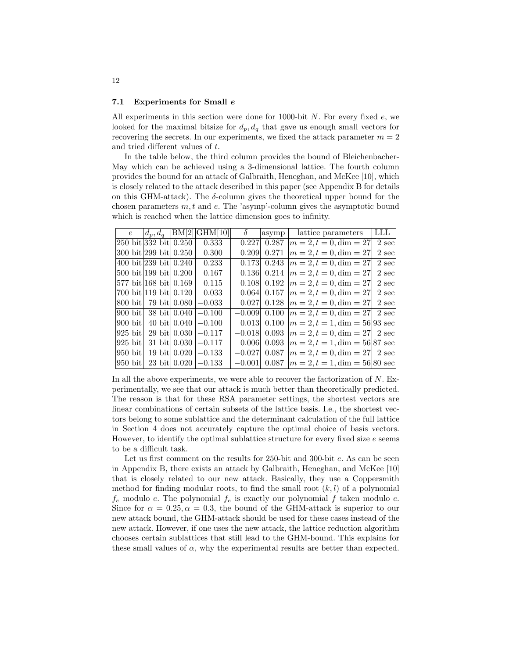#### 7.1 Experiments for Small e

All experiments in this section were done for 1000-bit  $N$ . For every fixed  $e$ , we looked for the maximal bitsize for  $d_p, d_q$  that gave us enough small vectors for recovering the secrets. In our experiments, we fixed the attack parameter  $m = 2$ and tried different values of t.

In the table below, the third column provides the bound of Bleichenbacher-May which can be achieved using a 3-dimensional lattice. The fourth column provides the bound for an attack of Galbraith, Heneghan, and McKee [10], which is closely related to the attack described in this paper (see Appendix B for details on this GHM-attack). The  $\delta$ -column gives the theoretical upper bound for the chosen parameters  $m, t$  and  $e$ . The 'asymp'-column gives the asymptotic bound which is reached when the lattice dimension goes to infinity.

| $e^{-}$           | $d_p, d_q$                          | BM[2]          | GHM[10]                 | δ        | asymp | lattice parameters                               | LLL   |
|-------------------|-------------------------------------|----------------|-------------------------|----------|-------|--------------------------------------------------|-------|
|                   | 250 bit 332 bit 0.250               |                | 0.333                   | 0.227    | 0.287 | $ m = 2, t = 0, \text{dim} = 27$                 | 2 sec |
|                   | 300 bit 299 bit 0.250               |                | 0.300                   | 0.209    | 0.271 | $ m=2,t=0, \text{dim}=27$                        | 2 sec |
|                   | 400 bit 239 bit $0.240$             |                | 0.233                   | 0.173    | 0.243 | $ m = 2, t = 0, \text{dim} = 27$                 | 2 sec |
|                   | 500 bit 199 bit 0.200               |                | 0.167                   | 0.136    | 0.214 | $ m = 2, t = 0, \text{dim} = 27$                 | 2 sec |
|                   | 577 bit 168 bit 0.169               |                | 0.115                   | 0.108    | 0.192 | $ m=2,t=0,\dim=27$                               | 2 sec |
|                   | $700 \text{ bit}$   119 bit   0.120 |                | 0.033                   | 0.064    | 0.157 | $ m = 2, t = 0, \text{dim} = 27$                 | 2 sec |
| $800$ bit         | 79 bit  0.080                       |                | $-0.033$                | 0.027    | 0.128 | $ m = 2, t = 0, \text{dim} = 27 $                | 2 sec |
| $900 \text{ bit}$ |                                     | 38 bit $0.040$ | $-0.100$                | $-0.009$ | 0.100 | $ m=2,t=0,\dim=27 2 \text{ sec} $                |       |
| $900$ bit         |                                     |                | 40 bit $0.040$ $-0.100$ | 0.013    | 0.100 | $ m = 2, t = 1, \text{dim} = 56 93 \text{ sec} $ |       |
| 925 bit           |                                     |                | 29 bit $0.030$ $-0.117$ | $-0.018$ | 0.093 | $ m = 2, t = 0, \text{dim} = 27 2 \text{ sec}$   |       |
| 925 bit           |                                     |                | 31 bit $0.030$ $-0.117$ | 0.006    | 0.093 | $ m = 2, t = 1, \text{dim} = 56 87 \text{ sec} $ |       |
| $950$ bit         |                                     |                | 19 bit $0.020$ $-0.133$ | $-0.027$ | 0.087 | $ m = 2, t = 0, \text{dim} = 27 2 \text{ sec}$   |       |
| 950 bit           |                                     |                | 23 bit $0.020$ $-0.133$ | $-0.001$ | 0.087 | $ m = 2, t = 1, \text{dim} = 56 80 \text{ sec} $ |       |

In all the above experiments, we were able to recover the factorization of  $N$ . Experimentally, we see that our attack is much better than theoretically predicted. The reason is that for these RSA parameter settings, the shortest vectors are linear combinations of certain subsets of the lattice basis. I.e., the shortest vectors belong to some sublattice and the determinant calculation of the full lattice in Section 4 does not accurately capture the optimal choice of basis vectors. However, to identify the optimal sublattice structure for every fixed size  $e$  seems to be a difficult task.

Let us first comment on the results for 250-bit and 300-bit e. As can be seen in Appendix B, there exists an attack by Galbraith, Heneghan, and McKee [10] that is closely related to our new attack. Basically, they use a Coppersmith method for finding modular roots, to find the small root  $(k, l)$  of a polynomial  $f_e$  modulo e. The polynomial  $f_e$  is exactly our polynomial f taken modulo e. Since for  $\alpha = 0.25, \alpha = 0.3$ , the bound of the GHM-attack is superior to our new attack bound, the GHM-attack should be used for these cases instead of the new attack. However, if one uses the new attack, the lattice reduction algorithm chooses certain sublattices that still lead to the GHM-bound. This explains for these small values of  $\alpha$ , why the experimental results are better than expected.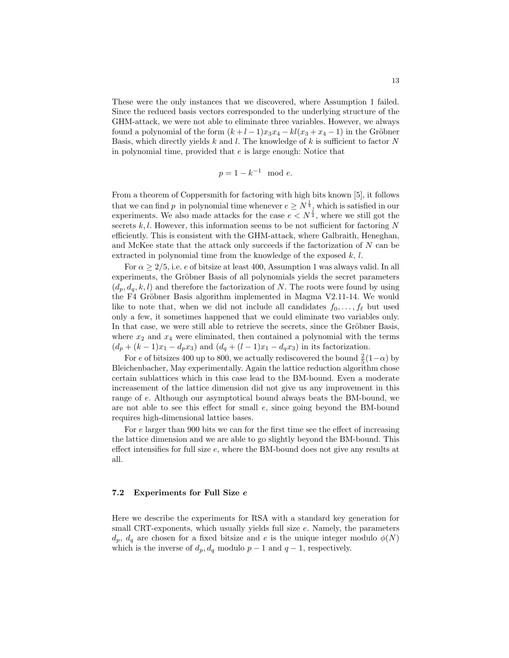These were the only instances that we discovered, where Assumption 1 failed. Since the reduced basis vectors corresponded to the underlying structure of the GHM-attack, we were not able to eliminate three variables. However, we always found a polynomial of the form  $(k+l-1)x_3x_4 - kl(x_3+x_4-1)$  in the Gröbner Basis, which directly yields  $k$  and  $l$ . The knowledge of  $k$  is sufficient to factor  $N$ in polynomial time, provided that e is large enough: Notice that

$$
p = 1 - k^{-1} \mod e.
$$

From a theorem of Coppersmith for factoring with high bits known [5], it follows that we can find p in polynomial time whenever  $e \geq N^{\frac{1}{4}}$ , which is satisfied in our experiments. We also made attacks for the case  $e < N^{\frac{1}{4}}$ , where we still got the secrets  $k, l$ . However, this information seems to be not sufficient for factoring N efficiently. This is consistent with the GHM-attack, where Galbraith, Heneghan, and McKee state that the attack only succeeds if the factorization of N can be extracted in polynomial time from the knowledge of the exposed  $k, l$ .

For  $\alpha > 2/5$ , i.e. e of bitsize at least 400, Assumption 1 was always valid. In all experiments, the Gröbner Basis of all polynomials yields the secret parameters  $(d_p, d_q, k, l)$  and therefore the factorization of N. The roots were found by using the F4 Gröbner Basis algorithm implemented in Magma V2.11-14. We would like to note that, when we did not include all candidates  $f_0, \ldots, f_\ell$  but used only a few, it sometimes happened that we could eliminate two variables only. In that case, we were still able to retrieve the secrets, since the Gröbner Basis, where  $x_2$  and  $x_4$  were eliminated, then contained a polynomial with the terms  $(d_p + (k-1)x_1 - d_p x_3)$  and  $(d_q + (l-1)x_1 - d_q x_3)$  in its factorization.

For e of bitsizes 400 up to 800, we actually rediscovered the bound  $\frac{2}{5}(1-\alpha)$  by Bleichenbacher, May experimentally. Again the lattice reduction algorithm chose certain sublattices which in this case lead to the BM-bound. Even a moderate increasement of the lattice dimension did not give us any improvement in this range of e. Although our asymptotical bound always beats the BM-bound, we are not able to see this effect for small e, since going beyond the BM-bound requires high-dimensional lattice bases.

For e larger than 900 bits we can for the first time see the effect of increasing the lattice dimension and we are able to go slightly beyond the BM-bound. This effect intensifies for full size e, where the BM-bound does not give any results at all.

#### 7.2 Experiments for Full Size e

Here we describe the experiments for RSA with a standard key generation for small CRT-exponents, which usually yields full size e. Namely, the parameters  $d_p, d_q$  are chosen for a fixed bitsize and e is the unique integer modulo  $\phi(N)$ which is the inverse of  $d_p, d_q$  modulo  $p-1$  and  $q-1$ , respectively.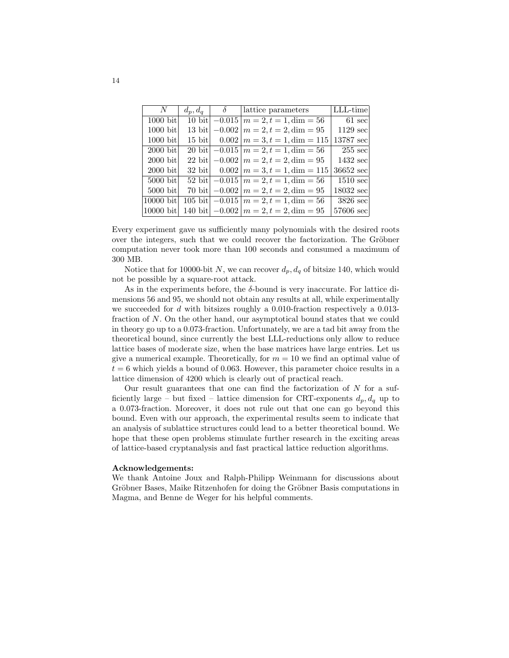| $N_{-}$     | $d_p, d_q$ | $\delta$ | attice parameters                                                              | LLL-time            |
|-------------|------------|----------|--------------------------------------------------------------------------------|---------------------|
| $1000$ bit  |            |          | 10 bit $\left  -0.015 \right  m = 2, t = 1, \text{dim} = 56$                   | $61 \text{ sec}$    |
| $1000$ bit  |            |          | 13 bit $\vert -0.002 \vert m = 2, t = 2$ , dim = 95                            | $1129$ sec          |
| $1000$ bit  |            |          | 15 bit $0.002 \mid m = 3, t = 1, \text{dim} = 115$                             | 13787 sec           |
| $2000$ bit  |            |          | 20 bit $-0.015 \mid m = 2, t = 1, \text{dim} = 56$                             | $255 \text{ sec}$   |
| $2000$ bit  |            |          | 22 bit $-0.002 \mid m = 2, t = 2, \text{dim} = 95$                             | $1432 \text{ sec}$  |
| $2000$ bit  |            |          | 32 bit $\begin{array}{c c} 0.002 & m = 3, t = 1, \text{dim} = 115 \end{array}$ | 36652 sec           |
| $5000$ bit  |            |          | $\overline{52 \text{ bit}}$ -0.015   $m = 2, t = 1$ , dim = 56                 | $1510 \text{ sec}$  |
| $5000$ bit  |            |          | 70 bit $-0.002 \mid m = 2, t = 2, \text{dim} = 95$                             | $18032 \text{ sec}$ |
| [10000 bit] |            |          | 105 bit $-0.015 \mid m = 2, t = 1, \text{dim} = 56$                            | $3826 \text{ sec}$  |
| 10000 bit   |            |          | 140 bit $-0.002 \mid m = 2, t = 2$ , dim = 95                                  | 57606 sec           |

Every experiment gave us sufficiently many polynomials with the desired roots over the integers, such that we could recover the factorization. The Gröbner computation never took more than 100 seconds and consumed a maximum of 300 MB.

Notice that for 10000-bit N, we can recover  $d_p, d_q$  of bitsize 140, which would not be possible by a square-root attack.

As in the experiments before, the δ-bound is very inaccurate. For lattice dimensions 56 and 95, we should not obtain any results at all, while experimentally we succeeded for d with bitsizes roughly a 0.010-fraction respectively a  $0.013$ fraction of N. On the other hand, our asymptotical bound states that we could in theory go up to a 0.073-fraction. Unfortunately, we are a tad bit away from the theoretical bound, since currently the best LLL-reductions only allow to reduce lattice bases of moderate size, when the base matrices have large entries. Let us give a numerical example. Theoretically, for  $m = 10$  we find an optimal value of  $t = 6$  which yields a bound of 0.063. However, this parameter choice results in a lattice dimension of 4200 which is clearly out of practical reach.

Our result guarantees that one can find the factorization of  $N$  for a sufficiently large – but fixed – lattice dimension for CRT-exponents  $d_p, d_q$  up to a 0.073-fraction. Moreover, it does not rule out that one can go beyond this bound. Even with our approach, the experimental results seem to indicate that an analysis of sublattice structures could lead to a better theoretical bound. We hope that these open problems stimulate further research in the exciting areas of lattice-based cryptanalysis and fast practical lattice reduction algorithms.

#### Acknowledgements:

We thank Antoine Joux and Ralph-Philipp Weinmann for discussions about Gröbner Bases, Maike Ritzenhofen for doing the Gröbner Basis computations in Magma, and Benne de Weger for his helpful comments.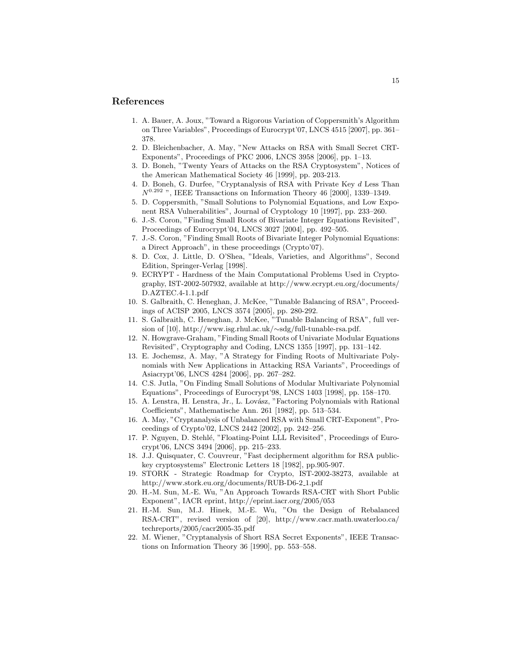## References

- 1. A. Bauer, A. Joux, "Toward a Rigorous Variation of Coppersmith's Algorithm on Three Variables", Proceedings of Eurocrypt'07, LNCS 4515 [2007], pp. 361– 378.
- 2. D. Bleichenbacher, A. May, "New Attacks on RSA with Small Secret CRT-Exponents", Proceedings of PKC 2006, LNCS 3958 [2006], pp. 1–13.
- 3. D. Boneh, "Twenty Years of Attacks on the RSA Cryptosystem", Notices of the American Mathematical Society 46 [1999], pp. 203-213.
- 4. D. Boneh, G. Durfee, "Cryptanalysis of RSA with Private Key d Less Than  $N^{0.292}$  ", IEEE Transactions on Information Theory 46 [2000], 1339-1349.
- 5. D. Coppersmith, "Small Solutions to Polynomial Equations, and Low Exponent RSA Vulnerabilities", Journal of Cryptology 10 [1997], pp. 233–260.
- 6. J.-S. Coron, "Finding Small Roots of Bivariate Integer Equations Revisited", Proceedings of Eurocrypt'04, LNCS 3027 [2004], pp. 492–505.
- 7. J.-S. Coron, "Finding Small Roots of Bivariate Integer Polynomial Equations: a Direct Approach", in these proceedings (Crypto'07).
- 8. D. Cox, J. Little, D. O'Shea, "Ideals, Varieties, and Algorithms", Second Edition, Springer-Verlag [1998].
- 9. ECRYPT Hardness of the Main Computational Problems Used in Cryptography, IST-2002-507932, available at http://www.ecrypt.eu.org/documents/ D.AZTEC.4-1.1.pdf
- 10. S. Galbraith, C. Heneghan, J. McKee, "Tunable Balancing of RSA", Proceedings of ACISP 2005, LNCS 3574 [2005], pp. 280-292.
- 11. S. Galbraith, C. Heneghan, J. McKee, "Tunable Balancing of RSA", full version of [10], http://www.isg.rhul.ac.uk/∼sdg/full-tunable-rsa.pdf.
- 12. N. Howgrave-Graham, "Finding Small Roots of Univariate Modular Equations Revisited", Cryptography and Coding, LNCS 1355 [1997], pp. 131–142.
- 13. E. Jochemsz, A. May, "A Strategy for Finding Roots of Multivariate Polynomials with New Applications in Attacking RSA Variants", Proceedings of Asiacrypt'06, LNCS 4284 [2006], pp. 267–282.
- 14. C.S. Jutla, "On Finding Small Solutions of Modular Multivariate Polynomial Equations", Proceedings of Eurocrypt'98, LNCS 1403 [1998], pp. 158–170.
- 15. A. Lenstra, H. Lenstra, Jr., L. Lov´asz, "Factoring Polynomials with Rational Coefficients", Mathematische Ann. 261 [1982], pp. 513–534.
- 16. A. May, "Cryptanalysis of Unbalanced RSA with Small CRT-Exponent", Proceedings of Crypto'02, LNCS 2442 [2002], pp. 242–256.
- 17. P. Nguyen, D. Stehlé, "Floating-Point LLL Revisited", Proceedings of Eurocrypt'06, LNCS 3494 [2006], pp. 215–233.
- 18. J.J. Quisquater, C. Couvreur, "Fast decipherment algorithm for RSA publickey cryptosystems" Electronic Letters 18 [1982], pp.905-907.
- 19. STORK Strategic Roadmap for Crypto, IST-2002-38273, available at http://www.stork.eu.org/documents/RUB-D6-2 1.pdf
- 20. H.-M. Sun, M.-E. Wu, "An Approach Towards RSA-CRT with Short Public Exponent", IACR eprint, http://eprint.iacr.org/2005/053
- 21. H.-M. Sun, M.J. Hinek, M.-E. Wu, "On the Design of Rebalanced RSA-CRT", revised version of [20], http://www.cacr.math.uwaterloo.ca/ techreports/2005/cacr2005-35.pdf
- 22. M. Wiener, "Cryptanalysis of Short RSA Secret Exponents", IEEE Transactions on Information Theory 36 [1990], pp. 553–558.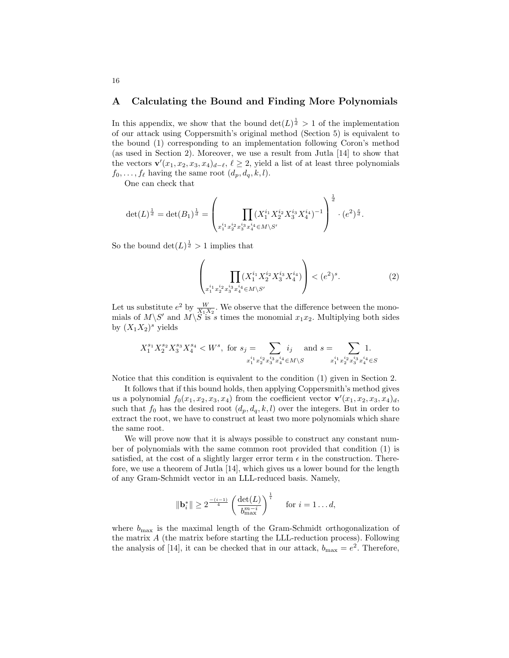### A Calculating the Bound and Finding More Polynomials

In this appendix, we show that the bound  $\det(L)^{\frac{1}{d}} > 1$  of the implementation of our attack using Coppersmith's original method (Section 5) is equivalent to the bound (1) corresponding to an implementation following Coron's method (as used in Section 2). Moreover, we use a result from Jutla [14] to show that the vectors  $\mathbf{v}'(x_1, x_2, x_3, x_4)_{d-\ell}, \ell \geq 2$ , yield a list of at least three polynomials  $f_0, \ldots, f_\ell$  having the same root  $(d_p, d_q, k, l)$ .

One can check that

$$
\det(L)^{\frac{1}{d}} = \det(B_1)^{\frac{1}{d}} = \left(\prod_{x_1^{i_1} x_2^{i_2} x_3^{i_3} x_4^{i_4} \in M \setminus S'} \left(X_1^{i_1} X_2^{i_2} X_3^{i_3} X_4^{i_4}\right)^{-1}\right)^{\frac{1}{d}} \cdot (e^2)^{\frac{s}{d}}.
$$

So the bound  $\det(L)^{\frac{1}{d}} > 1$  implies that

$$
\left(\prod_{x_1^{i_1}x_2^{i_2}x_3^{i_3}x_4^{i_4} \in M \setminus S'} \left(X_1^{i_1}X_2^{i_2}X_3^{i_3}X_4^{i_4}\right)\right) < (e^2)^s. \tag{2}
$$

Let us substitute  $e^2$  by  $\frac{W}{X_1X_2}$ . We observe that the difference between the monomials of  $M\backslash S'$  and  $M\backslash \widetilde{S}$  is s times the monomial  $x_1x_2$ . Multiplying both sides by  $(X_1X_2)^s$  yields

$$
X_1^{s_1} X_2^{s_2} X_3^{s_3} X_4^{s_4} < W^s, \text{ for } s_j = \sum_{x_1^{i_1} x_2^{i_2} x_3^{i_3} x_4^{i_4} \in M \setminus S} i_j \quad \text{and } s = \sum_{x_1^{i_1} x_2^{i_2} x_3^{i_3} x_4^{i_4} \in S} 1.
$$

Notice that this condition is equivalent to the condition (1) given in Section 2.

It follows that if this bound holds, then applying Coppersmith's method gives us a polynomial  $f_0(x_1, x_2, x_3, x_4)$  from the coefficient vector  $\mathbf{v}'(x_1, x_2, x_3, x_4)_d$ , such that  $f_0$  has the desired root  $(d_p, d_q, k, l)$  over the integers. But in order to extract the root, we have to construct at least two more polynomials which share the same root.

We will prove now that it is always possible to construct any constant number of polynomials with the same common root provided that condition (1) is satisfied, at the cost of a slightly larger error term  $\epsilon$  in the construction. Therefore, we use a theorem of Jutla [14], which gives us a lower bound for the length of any Gram-Schmidt vector in an LLL-reduced basis. Namely,

$$
\|\mathbf{b}_{i}^{*}\| \geq 2^{\frac{-(i-1)}{4}} \left(\frac{\det(L)}{b_{\max}^{m-i}}\right)^{\frac{1}{i}} \quad \text{ for } i = 1...d,
$$

where  $b_{\text{max}}$  is the maximal length of the Gram-Schmidt orthogonalization of the matrix A (the matrix before starting the LLL-reduction process). Following the analysis of [14], it can be checked that in our attack,  $b_{\text{max}} = e^2$ . Therefore,